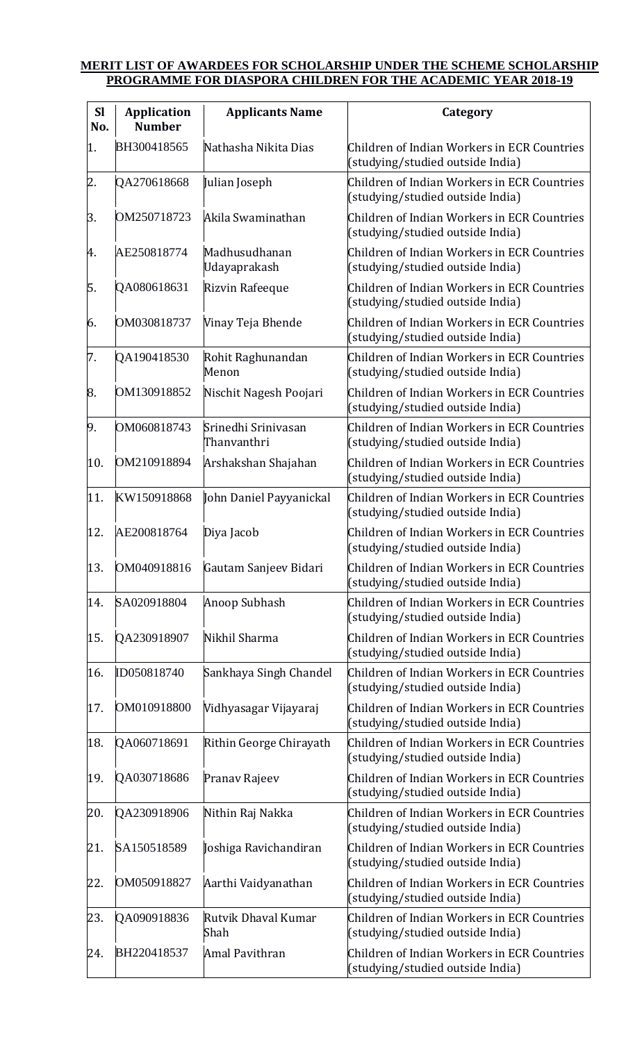## **MERIT LIST OF AWARDEES FOR SCHOLARSHIP UNDER THE SCHEME SCHOLARSHIP PROGRAMME FOR DIASPORA CHILDREN FOR THE ACADEMIC YEAR 2018-19**

| <b>Sl</b><br>No. | <b>Application</b><br><b>Number</b> | <b>Applicants Name</b>             | Category                                                                        |
|------------------|-------------------------------------|------------------------------------|---------------------------------------------------------------------------------|
| 1.               | BH300418565                         | Nathasha Nikita Dias               | Children of Indian Workers in ECR Countries<br>(studying/studied outside India) |
| 2.               | QA270618668                         | Julian Joseph                      | Children of Indian Workers in ECR Countries<br>(studying/studied outside India) |
| 3.               | OM250718723                         | Akila Swaminathan                  | Children of Indian Workers in ECR Countries<br>(studying/studied outside India) |
| 4.               | AE250818774                         | Madhusudhanan<br>Udayaprakash      | Children of Indian Workers in ECR Countries<br>(studying/studied outside India) |
| 5.               | QA080618631                         | Rizvin Rafeeque                    | Children of Indian Workers in ECR Countries<br>(studying/studied outside India) |
| 6.               | OM030818737                         | Vinay Teja Bhende                  | Children of Indian Workers in ECR Countries<br>(studying/studied outside India) |
| 7.               | QA190418530                         | Rohit Raghunandan<br>Menon         | Children of Indian Workers in ECR Countries<br>(studying/studied outside India) |
| 8.               | OM130918852                         | Nischit Nagesh Poojari             | Children of Indian Workers in ECR Countries<br>(studying/studied outside India) |
| 9.               | OM060818743                         | Srinedhi Srinivasan<br>Thanvanthri | Children of Indian Workers in ECR Countries<br>(studying/studied outside India) |
| 10.              | OM210918894                         | Arshakshan Shajahan                | Children of Indian Workers in ECR Countries<br>(studying/studied outside India) |
| 11.              | KW150918868                         | John Daniel Payyanickal            | Children of Indian Workers in ECR Countries<br>(studying/studied outside India) |
| 12.              | AE200818764                         | Diya Jacob                         | Children of Indian Workers in ECR Countries<br>(studying/studied outside India) |
| 13.              | OM040918816                         | Gautam Sanjeev Bidari              | Children of Indian Workers in ECR Countries<br>(studying/studied outside India) |
| 14.              | SA020918804                         | Anoop Subhash                      | Children of Indian Workers in ECR Countries<br>(studying/studied outside India) |
| 15.              | QA230918907                         | Nikhil Sharma                      | Children of Indian Workers in ECR Countries<br>(studying/studied outside India) |
| 16.              | ID050818740                         | Sankhaya Singh Chandel             | Children of Indian Workers in ECR Countries<br>(studying/studied outside India) |
| 17.              | OM010918800                         | Vidhyasagar Vijayaraj              | Children of Indian Workers in ECR Countries<br>(studying/studied outside India) |
| 18.              | QA060718691                         | Rithin George Chirayath            | Children of Indian Workers in ECR Countries<br>(studying/studied outside India) |
| 19.              | QA030718686                         | Pranav Rajeev                      | Children of Indian Workers in ECR Countries<br>(studying/studied outside India) |
| 20.              | QA230918906                         | Nithin Raj Nakka                   | Children of Indian Workers in ECR Countries<br>(studying/studied outside India) |
| 21.              | SA150518589                         | Joshiga Ravichandiran              | Children of Indian Workers in ECR Countries<br>(studying/studied outside India) |
| 22.              | OM050918827                         | Aarthi Vaidyanathan                | Children of Indian Workers in ECR Countries<br>(studying/studied outside India) |
| 23.              | QA090918836                         | Rutvik Dhaval Kumar<br>Shah        | Children of Indian Workers in ECR Countries<br>(studying/studied outside India) |
| 24.              | BH220418537                         | <b>Amal Pavithran</b>              | Children of Indian Workers in ECR Countries<br>(studying/studied outside India) |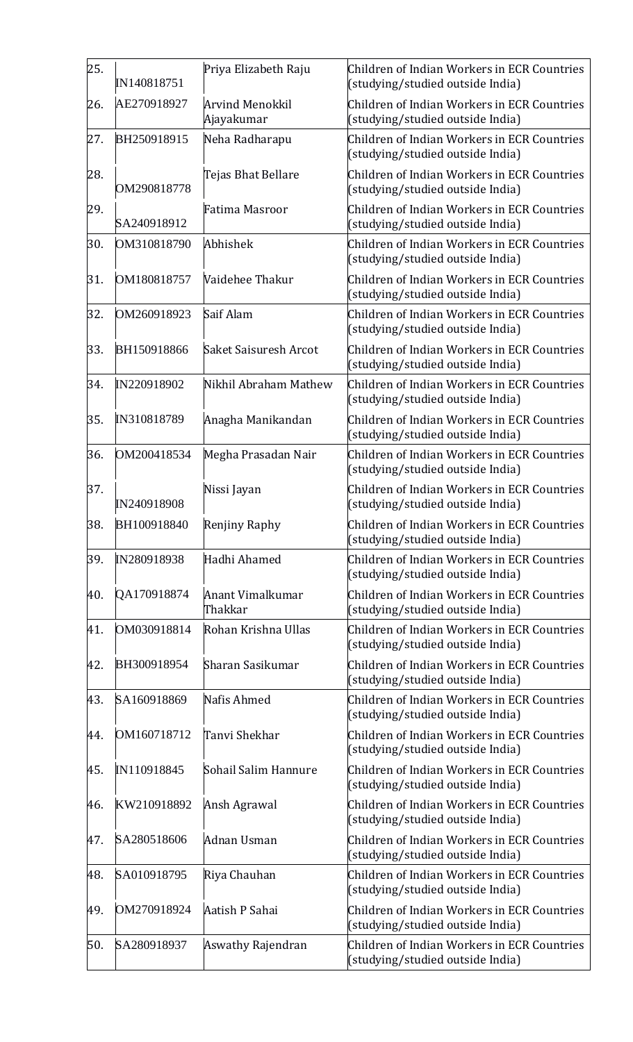| 25. | IN140818751 | Priya Elizabeth Raju                 | Children of Indian Workers in ECR Countries<br>(studying/studied outside India) |
|-----|-------------|--------------------------------------|---------------------------------------------------------------------------------|
| 26. | AE270918927 | <b>Arvind Menokkil</b><br>Ajayakumar | Children of Indian Workers in ECR Countries<br>(studying/studied outside India) |
| 27. | BH250918915 | Neha Radharapu                       | Children of Indian Workers in ECR Countries<br>(studying/studied outside India) |
| 28. | OM290818778 | Tejas Bhat Bellare                   | Children of Indian Workers in ECR Countries<br>(studying/studied outside India) |
| 29. | SA240918912 | Fatima Masroor                       | Children of Indian Workers in ECR Countries<br>(studying/studied outside India) |
| 30. | OM310818790 | Abhishek                             | Children of Indian Workers in ECR Countries<br>(studying/studied outside India) |
| 31. | OM180818757 | Vaidehee Thakur                      | Children of Indian Workers in ECR Countries<br>(studying/studied outside India) |
| 32. | OM260918923 | Saif Alam                            | Children of Indian Workers in ECR Countries<br>(studying/studied outside India) |
| 33. | BH150918866 | <b>Saket Saisuresh Arcot</b>         | Children of Indian Workers in ECR Countries<br>(studying/studied outside India) |
| 34. | IN220918902 | Nikhil Abraham Mathew                | Children of Indian Workers in ECR Countries<br>(studying/studied outside India) |
| 35. | IN310818789 | Anagha Manikandan                    | Children of Indian Workers in ECR Countries<br>(studying/studied outside India) |
| 36. | OM200418534 | Megha Prasadan Nair                  | Children of Indian Workers in ECR Countries<br>(studying/studied outside India) |
| 37. | IN240918908 | Nissi Jayan                          | Children of Indian Workers in ECR Countries<br>(studying/studied outside India) |
| 38. | BH100918840 | Renjiny Raphy                        | Children of Indian Workers in ECR Countries<br>(studying/studied outside India) |
| 39. | IN280918938 | Hadhi Ahamed                         | Children of Indian Workers in ECR Countries<br>(studying/studied outside India) |
| 40. | QA170918874 | <b>Anant Vimalkumar</b><br>Thakkar   | Children of Indian Workers in ECR Countries<br>(studying/studied outside India) |
| 41. | OM030918814 | Rohan Krishna Ullas                  | Children of Indian Workers in ECR Countries<br>(studying/studied outside India) |
| 42. | BH300918954 | Sharan Sasikumar                     | Children of Indian Workers in ECR Countries<br>(studying/studied outside India) |
| 43. | SA160918869 | Nafis Ahmed                          | Children of Indian Workers in ECR Countries<br>(studying/studied outside India) |
| 44. | OM160718712 | Tanvi Shekhar                        | Children of Indian Workers in ECR Countries<br>(studying/studied outside India) |
| 45. | IN110918845 | Sohail Salim Hannure                 | Children of Indian Workers in ECR Countries<br>(studying/studied outside India) |
| 46. | KW210918892 | Ansh Agrawal                         | Children of Indian Workers in ECR Countries<br>(studying/studied outside India) |
| 47. | SA280518606 | Adnan Usman                          | Children of Indian Workers in ECR Countries<br>(studying/studied outside India) |
| 48. | SA010918795 | Riya Chauhan                         | Children of Indian Workers in ECR Countries                                     |
|     |             |                                      | (studying/studied outside India)                                                |
| 49. | OM270918924 | Aatish P Sahai                       | Children of Indian Workers in ECR Countries<br>(studying/studied outside India) |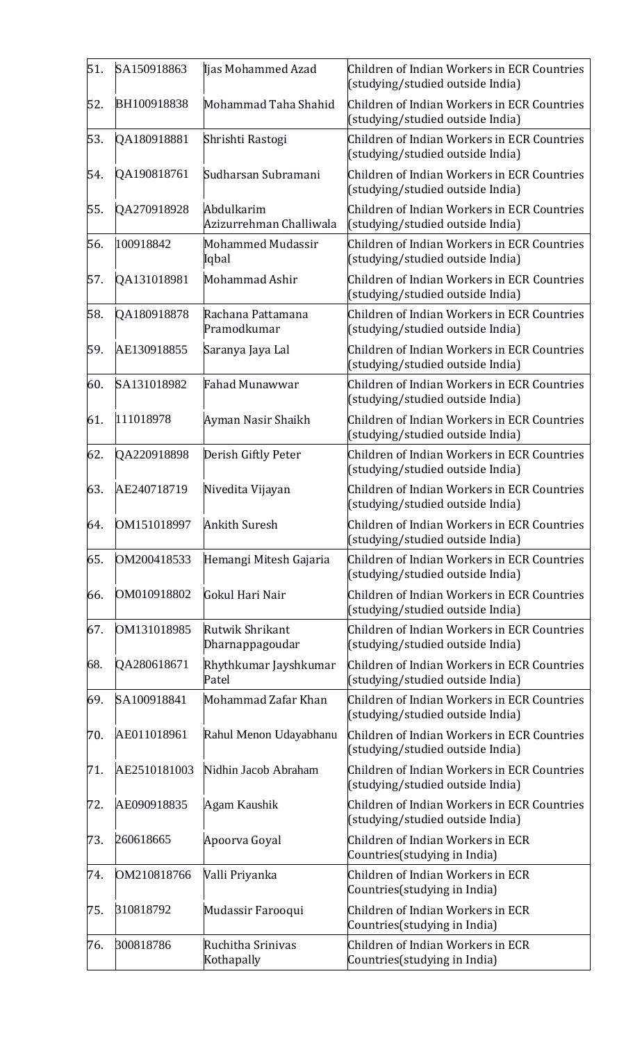| 51. | SA150918863  | Ijas Mohammed Azad                    | Children of Indian Workers in ECR Countries<br>(studying/studied outside India) |
|-----|--------------|---------------------------------------|---------------------------------------------------------------------------------|
| 52. | BH100918838  | Mohammad Taha Shahid                  | Children of Indian Workers in ECR Countries<br>(studying/studied outside India) |
| 53. | QA180918881  | Shrishti Rastogi                      | Children of Indian Workers in ECR Countries<br>(studying/studied outside India) |
| 54. | QA190818761  | Sudharsan Subramani                   | Children of Indian Workers in ECR Countries<br>(studying/studied outside India) |
| 55. | QA270918928  | Abdulkarim<br>Azizurrehman Challiwala | Children of Indian Workers in ECR Countries<br>(studying/studied outside India) |
| 56. | 100918842    | <b>Mohammed Mudassir</b><br>Iqbal     | Children of Indian Workers in ECR Countries<br>(studying/studied outside India) |
| 57. | QA131018981  | Mohammad Ashir                        | Children of Indian Workers in ECR Countries<br>(studying/studied outside India) |
| 58. | QA180918878  | Rachana Pattamana<br>Pramodkumar      | Children of Indian Workers in ECR Countries<br>(studying/studied outside India) |
| 59. | AE130918855  | Saranya Jaya Lal                      | Children of Indian Workers in ECR Countries<br>(studying/studied outside India) |
| 60. | SA131018982  | <b>Fahad Munawwar</b>                 | Children of Indian Workers in ECR Countries<br>(studying/studied outside India) |
| 61. | 111018978    | Ayman Nasir Shaikh                    | Children of Indian Workers in ECR Countries<br>(studying/studied outside India) |
| 62. | QA220918898  | Derish Giftly Peter                   | Children of Indian Workers in ECR Countries<br>(studying/studied outside India) |
| 63. | AE240718719  | Nivedita Vijayan                      | Children of Indian Workers in ECR Countries<br>(studying/studied outside India) |
| 64. | OM151018997  | <b>Ankith Suresh</b>                  | Children of Indian Workers in ECR Countries<br>(studying/studied outside India) |
| 65. | OM200418533  | Hemangi Mitesh Gajaria                | Children of Indian Workers in ECR Countries<br>(studying/studied outside India) |
| 66. | OM010918802  | Gokul Hari Nair                       | Children of Indian Workers in ECR Countries<br>(studying/studied outside India) |
| 67. | OM131018985  | Rutwik Shrikant<br>Dharnappagoudar    | Children of Indian Workers in ECR Countries<br>(studying/studied outside India) |
| 68. | QA280618671  | Rhythkumar Jayshkumar<br>Patel        | Children of Indian Workers in ECR Countries<br>(studying/studied outside India) |
| 69. | SA100918841  | Mohammad Zafar Khan                   | Children of Indian Workers in ECR Countries<br>(studying/studied outside India) |
| 70. | AE011018961  | Rahul Menon Udayabhanu                | Children of Indian Workers in ECR Countries<br>(studying/studied outside India) |
| 71. | AE2510181003 | Nidhin Jacob Abraham                  | Children of Indian Workers in ECR Countries<br>(studying/studied outside India) |
| 72. | AE090918835  | Agam Kaushik                          | Children of Indian Workers in ECR Countries<br>(studying/studied outside India) |
| 73. | 260618665    | Apoorva Goyal                         | Children of Indian Workers in ECR<br>Countries (studying in India)              |
| 74. | OM210818766  | Valli Priyanka                        | Children of Indian Workers in ECR<br>Countries(studying in India)               |
| 75. | 310818792    | Mudassir Farooqui                     | Children of Indian Workers in ECR<br>Countries (studying in India)              |
| 76. | 300818786    | Ruchitha Srinivas<br>Kothapally       | Children of Indian Workers in ECR<br>Countries (studying in India)              |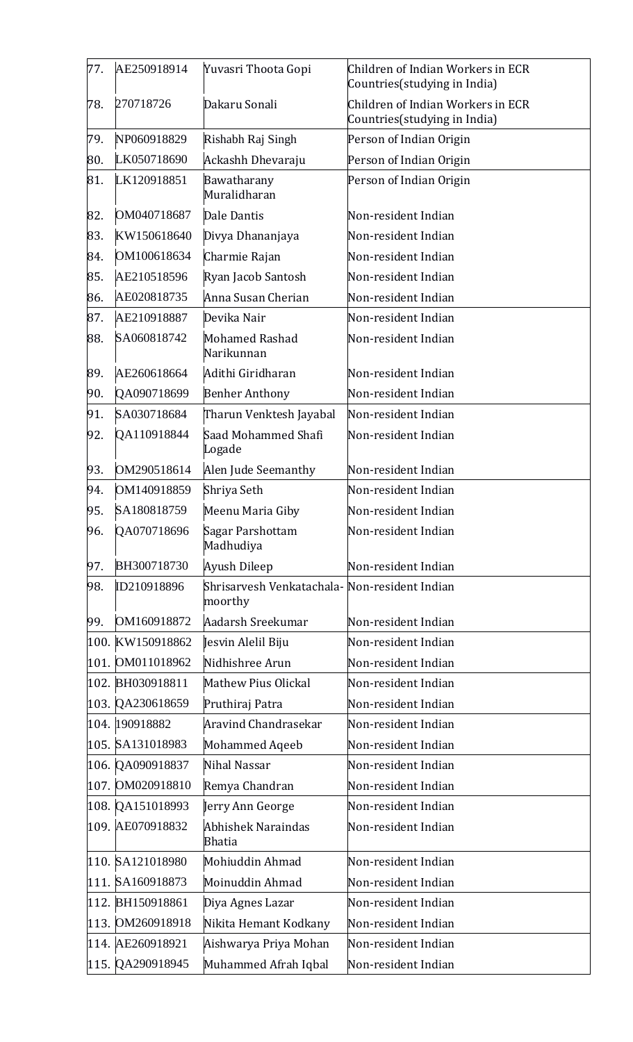| 77. | AE250918914      | Yuvasri Thoota Gopi                                      | Children of Indian Workers in ECR<br>Countries (studying in India) |
|-----|------------------|----------------------------------------------------------|--------------------------------------------------------------------|
| 78. | 270718726        | Dakaru Sonali                                            | Children of Indian Workers in ECR<br>Countries (studying in India) |
| 79. | NP060918829      | Rishabh Raj Singh                                        | Person of Indian Origin                                            |
| 80. | LK050718690      | Ackashh Dhevaraju                                        | Person of Indian Origin                                            |
| 81. | LK120918851      | Bawatharany<br>Muralidharan                              | Person of Indian Origin                                            |
| 82. | OM040718687      | Dale Dantis                                              | Non-resident Indian                                                |
| 83. | KW150618640      | Divya Dhananjaya                                         | Non-resident Indian                                                |
| 84. | OM100618634      | Charmie Rajan                                            | Non-resident Indian                                                |
| 85. | AE210518596      | Ryan Jacob Santosh                                       | Non-resident Indian                                                |
| 86. | AE020818735      | Anna Susan Cherian                                       | Non-resident Indian                                                |
| 87. | AE210918887      | Devika Nair                                              | Non-resident Indian                                                |
| 88. | SA060818742      | <b>Mohamed Rashad</b><br>Narikunnan                      | Non-resident Indian                                                |
| 89. | AE260618664      | Adithi Giridharan                                        | Non-resident Indian                                                |
| 90. | QA090718699      | <b>Benher Anthony</b>                                    | Non-resident Indian                                                |
| 91. | SA030718684      | Tharun Venktesh Jayabal                                  | Non-resident Indian                                                |
| 92. | QA110918844      | Saad Mohammed Shafi<br>Logade                            | Non-resident Indian                                                |
| 93. | OM290518614      | Alen Jude Seemanthy                                      | Non-resident Indian                                                |
| 94. | OM140918859      | Shriya Seth                                              | Non-resident Indian                                                |
| 95. | SA180818759      | Meenu Maria Giby                                         | Non-resident Indian                                                |
| 96. | QA070718696      | Sagar Parshottam<br>Madhudiya                            | Non-resident Indian                                                |
| 97. | BH300718730      | Ayush Dileep                                             | Non-resident Indian                                                |
| 98. | ID210918896      | Shrisarvesh Venkatachala- Non-resident Indian<br>moorthy |                                                                    |
| 99. | OM160918872      | Aadarsh Sreekumar                                        | Non-resident Indian                                                |
|     | 100. KW150918862 | Jesvin Alelil Biju                                       | Non-resident Indian                                                |
|     | 101. OM011018962 | Nidhishree Arun                                          | Non-resident Indian                                                |
|     | 102. BH030918811 | <b>Mathew Pius Olickal</b>                               | Non-resident Indian                                                |
|     | 103. QA230618659 | Pruthiraj Patra                                          | Non-resident Indian                                                |
|     | 104. 190918882   | Aravind Chandrasekar                                     | Non-resident Indian                                                |
|     | 105. SA131018983 | <b>Mohammed Aqeeb</b>                                    | Non-resident Indian                                                |
|     | 106. QA090918837 | Nihal Nassar                                             | Non-resident Indian                                                |
|     | 107. OM020918810 | Remya Chandran                                           | Non-resident Indian                                                |
|     | 108. QA151018993 | Jerry Ann George                                         | Non-resident Indian                                                |
|     | 109. AE070918832 | Abhishek Naraindas<br><b>Bhatia</b>                      | Non-resident Indian                                                |
|     | 110. SA121018980 | Mohiuddin Ahmad                                          | Non-resident Indian                                                |
|     | 111. SA160918873 | Moinuddin Ahmad                                          | Non-resident Indian                                                |
|     | 112. BH150918861 | Diya Agnes Lazar                                         | Non-resident Indian                                                |
|     | 113. OM260918918 | Nikita Hemant Kodkany                                    | Non-resident Indian                                                |
|     | 114. AE260918921 | Aishwarya Priya Mohan                                    | Non-resident Indian                                                |
|     | 115. QA290918945 | Muhammed Afrah Iqbal                                     | Non-resident Indian                                                |